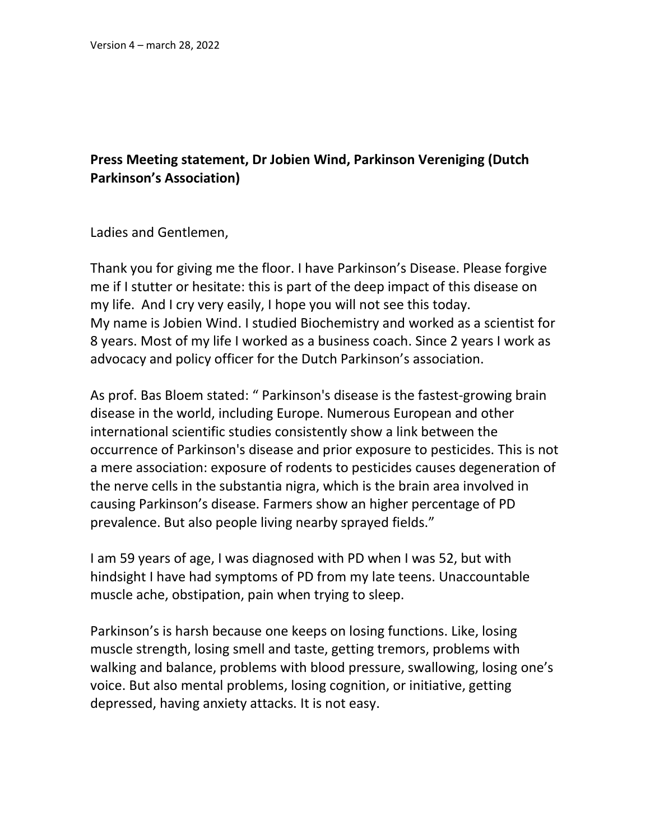## **Press Meeting statement, Dr Jobien Wind, Parkinson Vereniging (Dutch Parkinson's Association)**

Ladies and Gentlemen,

Thank you for giving me the floor. I have Parkinson's Disease. Please forgive me if I stutter or hesitate: this is part of the deep impact of this disease on my life. And I cry very easily, I hope you will not see this today. My name is Jobien Wind. I studied Biochemistry and worked as a scientist for 8 years. Most of my life I worked as a business coach. Since 2 years I work as advocacy and policy officer for the Dutch Parkinson's association.

As prof. Bas Bloem stated: " Parkinson's disease is the fastest-growing brain disease in the world, including Europe. Numerous European and other international scientific studies consistently show a link between the occurrence of Parkinson's disease and prior exposure to pesticides. This is not a mere association: exposure of rodents to pesticides causes degeneration of the nerve cells in the substantia nigra, which is the brain area involved in causing Parkinson's disease. Farmers show an higher percentage of PD prevalence. But also people living nearby sprayed fields."

I am 59 years of age, I was diagnosed with PD when I was 52, but with hindsight I have had symptoms of PD from my late teens. Unaccountable muscle ache, obstipation, pain when trying to sleep.

Parkinson's is harsh because one keeps on losing functions. Like, losing muscle strength, losing smell and taste, getting tremors, problems with walking and balance, problems with blood pressure, swallowing, losing one's voice. But also mental problems, losing cognition, or initiative, getting depressed, having anxiety attacks. It is not easy.